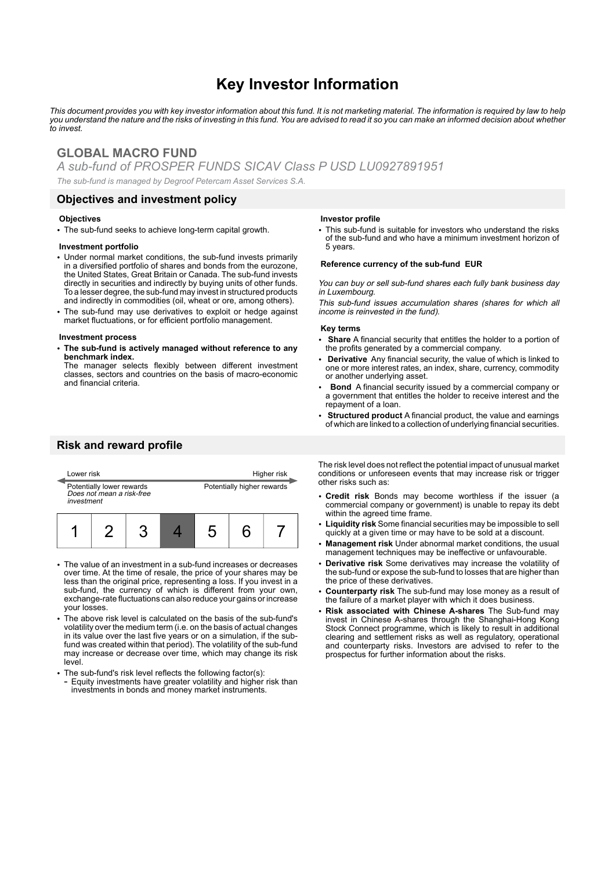# **Key Investor Information**

*This document provides you with key investor information about this fund. It is not marketing material. The information is required by law to help you understand the nature and the risks of investing in this fund. You are advised to read it so you can make an informed decision about whether to invest.*

# **GLOBAL MACRO FUND**

*A sub-fund of PROSPER FUNDS SICAV Class P USD LU0927891951*

*The sub-fund is managed by Degroof Petercam Asset Services S.A.*

### **Objectives and investment policy**

#### **Objectives**

• The sub-fund seeks to achieve long-term capital growth.

#### **Investment portfolio**

- Under normal market conditions, the sub-fund invests primarily in a diversified portfolio of shares and bonds from the eurozone, the United States, Great Britain or Canada. The sub-fund invests directly in securities and indirectly by buying units of other funds. To a lesser degree, the sub-fund may invest in structured products and indirectly in commodities (oil, wheat or ore, among others).
- The sub-fund may use derivatives to exploit or hedge against market fluctuations, or for efficient portfolio management.

#### **Investment process**

2 **The sub-fund is actively managed without reference to any benchmark index.**

The manager selects flexibly between different investment classes, sectors and countries on the basis of macro-economic and financial criteria.

## **Risk and reward profile**

| Lower risk |                                                        |  |  |                            |  | Higher risk |
|------------|--------------------------------------------------------|--|--|----------------------------|--|-------------|
| investment | Potentially lower rewards<br>Does not mean a risk-free |  |  | Potentially higher rewards |  |             |
|            |                                                        |  |  | 5                          |  |             |

- The value of an investment in a sub-fund increases or decreases over time. At the time of resale, the price of your shares may be less than the original price, representing a loss. If you invest in a sub-fund, the currency of which is different from your own, exchange-rate fluctuations can also reduce your gains or increase your losses.
- The above risk level is calculated on the basis of the sub-fund's volatility over the medium term (i.e. on the basis of actual changes in its value over the last five years or on a simulation, if the subfund was created within that period). The volatility of the sub-fund may increase or decrease over time, which may change its risk level.
- The sub-fund's risk level reflects the following factor(s):
- Equity investments have greater volatility and higher risk than investments in bonds and money market instruments.

#### **Investor profile**

• This sub-fund is suitable for investors who understand the risks of the sub-fund and who have a minimum investment horizon of 5 years.

#### **Reference currency of the sub-fund EUR**

You can buy or sell sub-fund shares each fully bank business day in Luxembourg.

This sub-fund issues accumulation shares (shares for which all income is reinvested in the fund).

#### **Key terms**

- 2 **Share** A financial security that entitles the holder to a portion of the profits generated by a commercial company.
- 2 **Derivative** Any financial security, the value of which is linked to one or more interest rates, an index, share, currency, commodity or another underlying asset.
- 2 **Bond** A financial security issued by a commercial company or a government that entitles the holder to receive interest and the repayment of a loan.
- **Structured product** A financial product, the value and earnings of which are linked to a collection of underlying financial securities.

The risk level does not reflect the potential impact of unusual market conditions or unforeseen events that may increase risk or trigger other risks such as:

- 2 **Credit risk** Bonds may become worthless if the issuer (a commercial company or government) is unable to repay its debt within the agreed time frame.
- 2 **Liquidity risk** Some financial securities may be impossible to sell quickly at a given time or may have to be sold at a discount.
- 2 **Management risk** Under abnormal market conditions, the usual management techniques may be ineffective or unfavourable.
- 2 **Derivative risk** Some derivatives may increase the volatility of the sub-fund or expose the sub-fund to losses that are higher than the price of these derivatives.
- 2 **Counterparty risk** The sub-fund may lose money as a result of the failure of a market player with which it does business.
- 2 **Risk associated with Chinese A-shares** The Sub-fund may invest in Chinese A-shares through the Shanghai-Hong Kong Stock Connect programme, which is likely to result in additional clearing and settlement risks as well as regulatory, operational and counterparty risks. Investors are advised to refer to the prospectus for further information about the risks.